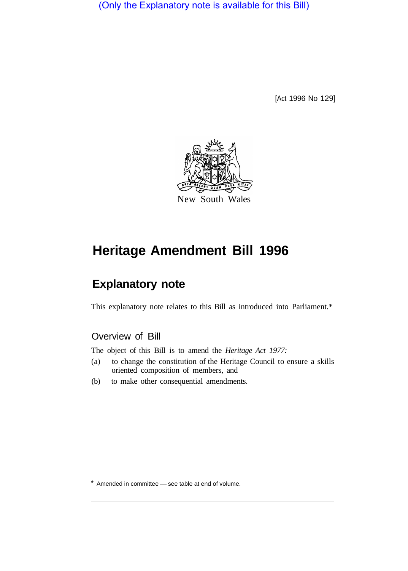(Only the Explanatory note is available for this Bill)

[Act 1996 No 129]



# **Heritage Amendment Bill 1996**

## **Explanatory note**

This explanatory note relates to this Bill as introduced into Parliament.\*

## Overview of Bill

The object of this Bill is to amend the *Heritage Act 1977:* 

- (a) to change the constitution of the Heritage Council to ensure a skills oriented composition of members, and
- (b) to make other consequential amendments.

 $*$  Amended in committee  $-$  see table at end of volume.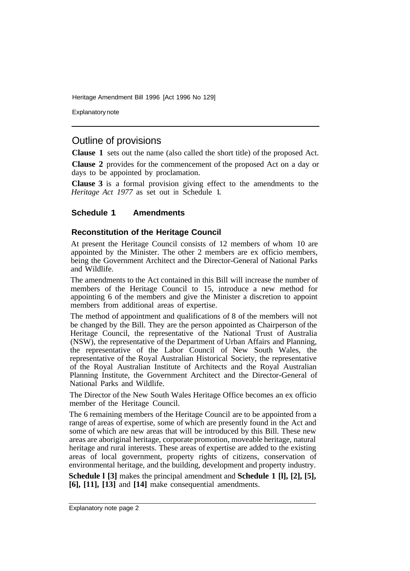Heritage Amendment Bill 1996 [Act 1996 No 129]

Explanatory note

### Outline of provisions

**Clause 1** sets out the name (also called the short title) of the proposed Act.

**Clause 2** provides for the commencement of the proposed Act on a day or days to be appointed by proclamation.

**Clause 3** is a formal provision giving effect to the amendments to the *Heritage Act 1977* as set out in Schedule **1.** 

#### **Schedule 1 Amendments**

#### **Reconstitution of the Heritage Council**

At present the Heritage Council consists of 12 members of whom 10 are appointed by the Minister. The other 2 members are ex officio members, being the Government Architect and the Director-General of National Parks and Wildlife.

The amendments to the Act contained in this Bill will increase the number of members of the Heritage Council to 15, introduce a new method for appointing 6 of the members and give the Minister a discretion to appoint members from additional areas of expertise.

The method of appointment and qualifications of 8 of the members will not be changed by the Bill. They are the person appointed as Chairperson of the Heritage Council, the representative of the National Trust of Australia (NSW), the representative of the Department of Urban Affairs and Planning, the representative of the Labor Council of New South Wales, the representative of the Royal Australian Historical Society, the representative of the Royal Australian Institute of Architects and the Royal Australian Planning Institute, the Government Architect and the Director-General of National Parks and Wildlife.

The Director of the New South Wales Heritage Office becomes an ex officio member of the Heritage Council.

The 6 remaining members of the Heritage Council are to be appointed from a range of areas of expertise, some of which are presently found in the Act and some of which are new areas that will be introduced by this Bill. These new areas are aboriginal heritage, corporate promotion, moveable heritage, natural heritage and rural interests. These areas of expertise are added to the existing areas of local government, property rights of citizens, conservation of environmental heritage, and the building, development and property industry.

**Schedule l [3]** makes the principal amendment and **Schedule 1 [l], [2], [5], [6], [11], [13]** and **[14]** make consequential amendments.